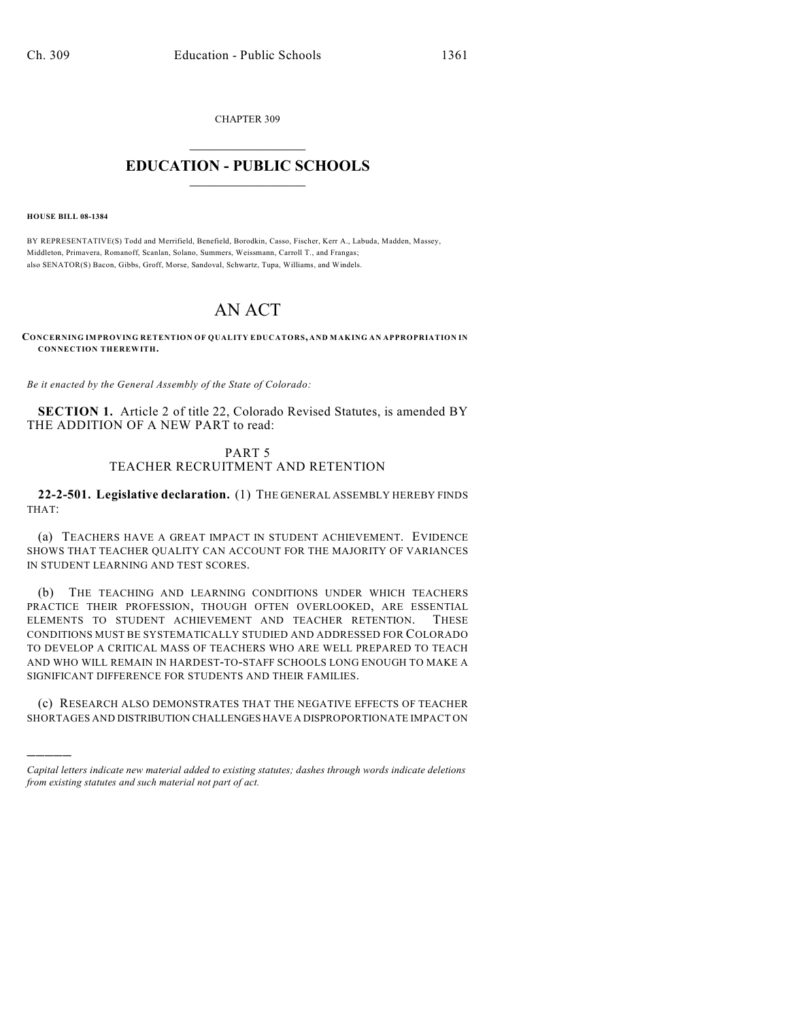CHAPTER 309  $\overline{\phantom{a}}$  . The set of the set of the set of the set of the set of the set of the set of the set of the set of the set of the set of the set of the set of the set of the set of the set of the set of the set of the set o

## **EDUCATION - PUBLIC SCHOOLS**  $\_$   $\_$   $\_$   $\_$   $\_$   $\_$   $\_$   $\_$   $\_$

**HOUSE BILL 08-1384**

)))))

BY REPRESENTATIVE(S) Todd and Merrifield, Benefield, Borodkin, Casso, Fischer, Kerr A., Labuda, Madden, Massey, Middleton, Primavera, Romanoff, Scanlan, Solano, Summers, Weissmann, Carroll T., and Frangas; also SENATOR(S) Bacon, Gibbs, Groff, Morse, Sandoval, Schwartz, Tupa, Williams, and Windels.

## AN ACT

**CONCERNING IMPROVING RETENTION OF QUALITY EDUCATORS, AND MAKING AN APPROPRIATION IN CONNECTION THEREWITH.**

*Be it enacted by the General Assembly of the State of Colorado:*

**SECTION 1.** Article 2 of title 22, Colorado Revised Statutes, is amended BY THE ADDITION OF A NEW PART to read:

## PART 5 TEACHER RECRUITMENT AND RETENTION

**22-2-501. Legislative declaration.** (1) THE GENERAL ASSEMBLY HEREBY FINDS THAT:

(a) TEACHERS HAVE A GREAT IMPACT IN STUDENT ACHIEVEMENT. EVIDENCE SHOWS THAT TEACHER QUALITY CAN ACCOUNT FOR THE MAJORITY OF VARIANCES IN STUDENT LEARNING AND TEST SCORES.

(b) THE TEACHING AND LEARNING CONDITIONS UNDER WHICH TEACHERS PRACTICE THEIR PROFESSION, THOUGH OFTEN OVERLOOKED, ARE ESSENTIAL ELEMENTS TO STUDENT ACHIEVEMENT AND TEACHER RETENTION. THESE CONDITIONS MUST BE SYSTEMATICALLY STUDIED AND ADDRESSED FOR COLORADO TO DEVELOP A CRITICAL MASS OF TEACHERS WHO ARE WELL PREPARED TO TEACH AND WHO WILL REMAIN IN HARDEST-TO-STAFF SCHOOLS LONG ENOUGH TO MAKE A SIGNIFICANT DIFFERENCE FOR STUDENTS AND THEIR FAMILIES.

(c) RESEARCH ALSO DEMONSTRATES THAT THE NEGATIVE EFFECTS OF TEACHER SHORTAGES AND DISTRIBUTION CHALLENGES HAVE A DISPROPORTIONATE IMPACT ON

*Capital letters indicate new material added to existing statutes; dashes through words indicate deletions from existing statutes and such material not part of act.*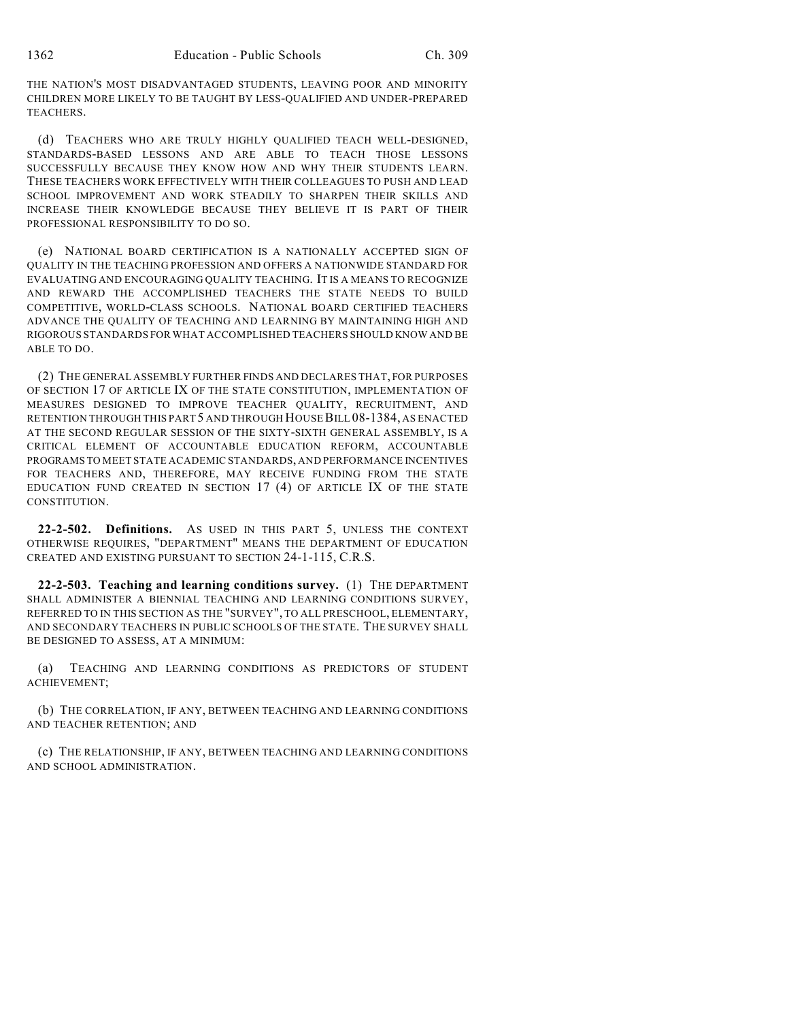THE NATION'S MOST DISADVANTAGED STUDENTS, LEAVING POOR AND MINORITY CHILDREN MORE LIKELY TO BE TAUGHT BY LESS-QUALIFIED AND UNDER-PREPARED TEACHERS.

(d) TEACHERS WHO ARE TRULY HIGHLY QUALIFIED TEACH WELL-DESIGNED, STANDARDS-BASED LESSONS AND ARE ABLE TO TEACH THOSE LESSONS SUCCESSFULLY BECAUSE THEY KNOW HOW AND WHY THEIR STUDENTS LEARN. THESE TEACHERS WORK EFFECTIVELY WITH THEIR COLLEAGUES TO PUSH AND LEAD SCHOOL IMPROVEMENT AND WORK STEADILY TO SHARPEN THEIR SKILLS AND INCREASE THEIR KNOWLEDGE BECAUSE THEY BELIEVE IT IS PART OF THEIR PROFESSIONAL RESPONSIBILITY TO DO SO.

(e) NATIONAL BOARD CERTIFICATION IS A NATIONALLY ACCEPTED SIGN OF QUALITY IN THE TEACHING PROFESSION AND OFFERS A NATIONWIDE STANDARD FOR EVALUATING AND ENCOURAGING QUALITY TEACHING. IT IS A MEANS TO RECOGNIZE AND REWARD THE ACCOMPLISHED TEACHERS THE STATE NEEDS TO BUILD COMPETITIVE, WORLD-CLASS SCHOOLS. NATIONAL BOARD CERTIFIED TEACHERS ADVANCE THE QUALITY OF TEACHING AND LEARNING BY MAINTAINING HIGH AND RIGOROUS STANDARDS FOR WHAT ACCOMPLISHED TEACHERS SHOULD KNOW AND BE ABLE TO DO.

(2) THE GENERAL ASSEMBLY FURTHER FINDS AND DECLARES THAT, FOR PURPOSES OF SECTION 17 OF ARTICLE IX OF THE STATE CONSTITUTION, IMPLEMENTATION OF MEASURES DESIGNED TO IMPROVE TEACHER QUALITY, RECRUITMENT, AND RETENTION THROUGH THIS PART 5 AND THROUGH HOUSE BILL 08-1384, AS ENACTED AT THE SECOND REGULAR SESSION OF THE SIXTY-SIXTH GENERAL ASSEMBLY, IS A CRITICAL ELEMENT OF ACCOUNTABLE EDUCATION REFORM, ACCOUNTABLE PROGRAMS TO MEET STATE ACADEMIC STANDARDS, AND PERFORMANCE INCENTIVES FOR TEACHERS AND, THEREFORE, MAY RECEIVE FUNDING FROM THE STATE EDUCATION FUND CREATED IN SECTION 17 (4) OF ARTICLE IX OF THE STATE CONSTITUTION.

**22-2-502. Definitions.** AS USED IN THIS PART 5, UNLESS THE CONTEXT OTHERWISE REQUIRES, "DEPARTMENT" MEANS THE DEPARTMENT OF EDUCATION CREATED AND EXISTING PURSUANT TO SECTION 24-1-115, C.R.S.

**22-2-503. Teaching and learning conditions survey.** (1) THE DEPARTMENT SHALL ADMINISTER A BIENNIAL TEACHING AND LEARNING CONDITIONS SURVEY, REFERRED TO IN THIS SECTION AS THE "SURVEY", TO ALL PRESCHOOL, ELEMENTARY, AND SECONDARY TEACHERS IN PUBLIC SCHOOLS OF THE STATE. THE SURVEY SHALL BE DESIGNED TO ASSESS, AT A MINIMUM:

(a) TEACHING AND LEARNING CONDITIONS AS PREDICTORS OF STUDENT ACHIEVEMENT;

(b) THE CORRELATION, IF ANY, BETWEEN TEACHING AND LEARNING CONDITIONS AND TEACHER RETENTION; AND

(c) THE RELATIONSHIP, IF ANY, BETWEEN TEACHING AND LEARNING CONDITIONS AND SCHOOL ADMINISTRATION.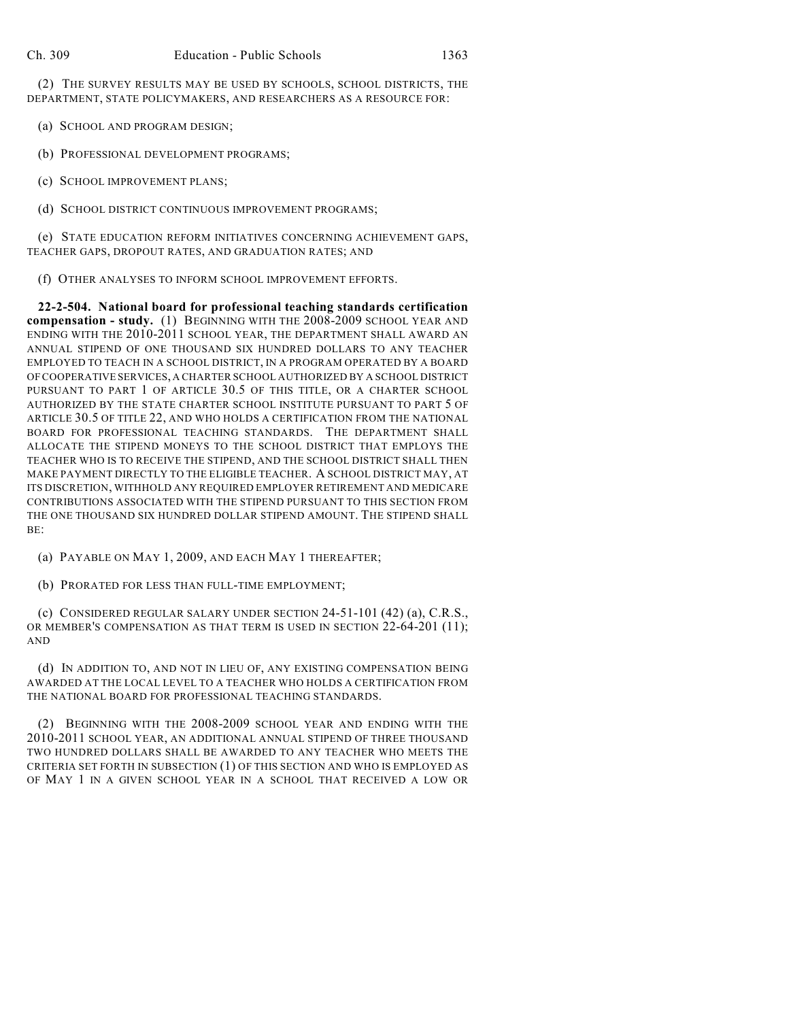(2) THE SURVEY RESULTS MAY BE USED BY SCHOOLS, SCHOOL DISTRICTS, THE DEPARTMENT, STATE POLICYMAKERS, AND RESEARCHERS AS A RESOURCE FOR:

- (a) SCHOOL AND PROGRAM DESIGN;
- (b) PROFESSIONAL DEVELOPMENT PROGRAMS;
- (c) SCHOOL IMPROVEMENT PLANS;
- (d) SCHOOL DISTRICT CONTINUOUS IMPROVEMENT PROGRAMS;

(e) STATE EDUCATION REFORM INITIATIVES CONCERNING ACHIEVEMENT GAPS, TEACHER GAPS, DROPOUT RATES, AND GRADUATION RATES; AND

(f) OTHER ANALYSES TO INFORM SCHOOL IMPROVEMENT EFFORTS.

**22-2-504. National board for professional teaching standards certification compensation - study.** (1) BEGINNING WITH THE 2008-2009 SCHOOL YEAR AND ENDING WITH THE 2010-2011 SCHOOL YEAR, THE DEPARTMENT SHALL AWARD AN ANNUAL STIPEND OF ONE THOUSAND SIX HUNDRED DOLLARS TO ANY TEACHER EMPLOYED TO TEACH IN A SCHOOL DISTRICT, IN A PROGRAM OPERATED BY A BOARD OF COOPERATIVE SERVICES, A CHARTER SCHOOL AUTHORIZED BY A SCHOOL DISTRICT PURSUANT TO PART 1 OF ARTICLE 30.5 OF THIS TITLE, OR A CHARTER SCHOOL AUTHORIZED BY THE STATE CHARTER SCHOOL INSTITUTE PURSUANT TO PART 5 OF ARTICLE 30.5 OF TITLE 22, AND WHO HOLDS A CERTIFICATION FROM THE NATIONAL BOARD FOR PROFESSIONAL TEACHING STANDARDS. THE DEPARTMENT SHALL ALLOCATE THE STIPEND MONEYS TO THE SCHOOL DISTRICT THAT EMPLOYS THE TEACHER WHO IS TO RECEIVE THE STIPEND, AND THE SCHOOL DISTRICT SHALL THEN MAKE PAYMENT DIRECTLY TO THE ELIGIBLE TEACHER. A SCHOOL DISTRICT MAY, AT ITS DISCRETION, WITHHOLD ANY REQUIRED EMPLOYER RETIREMENT AND MEDICARE CONTRIBUTIONS ASSOCIATED WITH THE STIPEND PURSUANT TO THIS SECTION FROM THE ONE THOUSAND SIX HUNDRED DOLLAR STIPEND AMOUNT. THE STIPEND SHALL BE:

(a) PAYABLE ON MAY 1, 2009, AND EACH MAY 1 THEREAFTER;

(b) PRORATED FOR LESS THAN FULL-TIME EMPLOYMENT;

(c) CONSIDERED REGULAR SALARY UNDER SECTION 24-51-101 (42) (a), C.R.S., OR MEMBER'S COMPENSATION AS THAT TERM IS USED IN SECTION 22-64-201 (11); AND

(d) IN ADDITION TO, AND NOT IN LIEU OF, ANY EXISTING COMPENSATION BEING AWARDED AT THE LOCAL LEVEL TO A TEACHER WHO HOLDS A CERTIFICATION FROM THE NATIONAL BOARD FOR PROFESSIONAL TEACHING STANDARDS.

(2) BEGINNING WITH THE 2008-2009 SCHOOL YEAR AND ENDING WITH THE 2010-2011 SCHOOL YEAR, AN ADDITIONAL ANNUAL STIPEND OF THREE THOUSAND TWO HUNDRED DOLLARS SHALL BE AWARDED TO ANY TEACHER WHO MEETS THE CRITERIA SET FORTH IN SUBSECTION (1) OF THIS SECTION AND WHO IS EMPLOYED AS OF MAY 1 IN A GIVEN SCHOOL YEAR IN A SCHOOL THAT RECEIVED A LOW OR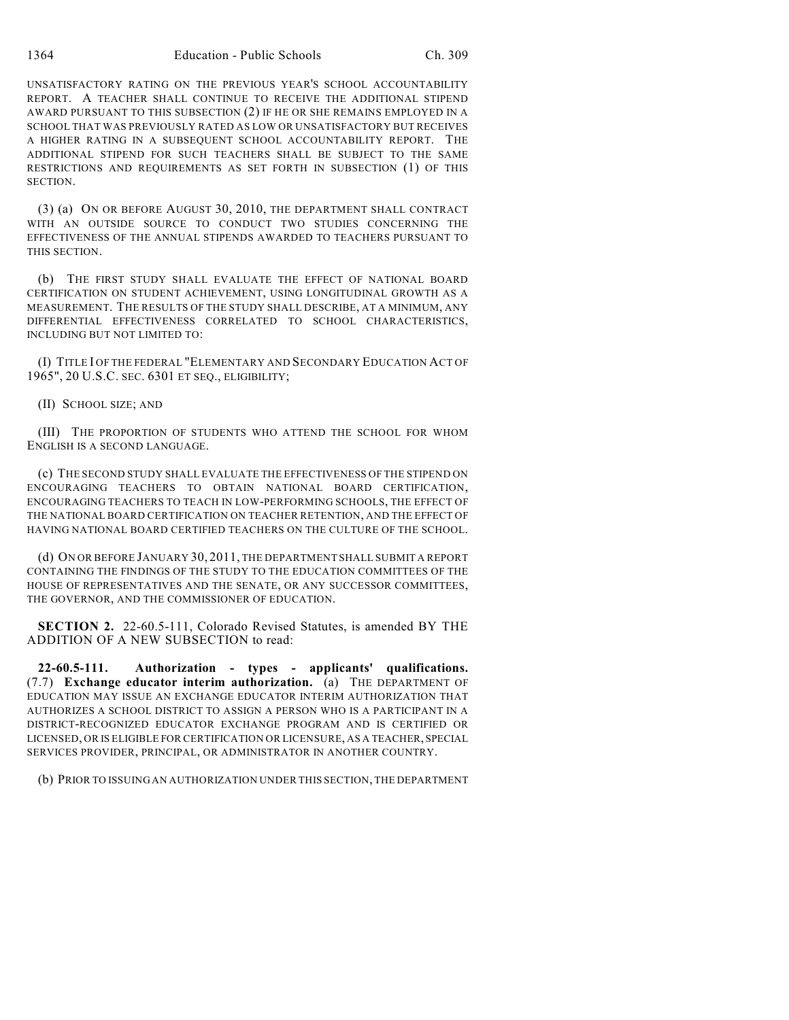1364 Education - Public Schools Ch. 309

UNSATISFACTORY RATING ON THE PREVIOUS YEAR'S SCHOOL ACCOUNTABILITY REPORT. A TEACHER SHALL CONTINUE TO RECEIVE THE ADDITIONAL STIPEND AWARD PURSUANT TO THIS SUBSECTION (2) IF HE OR SHE REMAINS EMPLOYED IN A SCHOOL THAT WAS PREVIOUSLY RATED AS LOW OR UNSATISFACTORY BUT RECEIVES A HIGHER RATING IN A SUBSEQUENT SCHOOL ACCOUNTABILITY REPORT. THE ADDITIONAL STIPEND FOR SUCH TEACHERS SHALL BE SUBJECT TO THE SAME RESTRICTIONS AND REQUIREMENTS AS SET FORTH IN SUBSECTION (1) OF THIS SECTION.

(3) (a) ON OR BEFORE AUGUST 30, 2010, THE DEPARTMENT SHALL CONTRACT WITH AN OUTSIDE SOURCE TO CONDUCT TWO STUDIES CONCERNING THE EFFECTIVENESS OF THE ANNUAL STIPENDS AWARDED TO TEACHERS PURSUANT TO THIS SECTION.

(b) THE FIRST STUDY SHALL EVALUATE THE EFFECT OF NATIONAL BOARD CERTIFICATION ON STUDENT ACHIEVEMENT, USING LONGITUDINAL GROWTH AS A MEASUREMENT. THE RESULTS OF THE STUDY SHALL DESCRIBE, AT A MINIMUM, ANY DIFFERENTIAL EFFECTIVENESS CORRELATED TO SCHOOL CHARACTERISTICS, INCLUDING BUT NOT LIMITED TO:

(I) TITLE I OF THE FEDERAL "ELEMENTARY AND SECONDARY EDUCATION ACT OF 1965", 20 U.S.C. SEC. 6301 ET SEQ., ELIGIBILITY;

(II) SCHOOL SIZE; AND

(III) THE PROPORTION OF STUDENTS WHO ATTEND THE SCHOOL FOR WHOM ENGLISH IS A SECOND LANGUAGE.

(c) THE SECOND STUDY SHALL EVALUATE THE EFFECTIVENESS OF THE STIPEND ON ENCOURAGING TEACHERS TO OBTAIN NATIONAL BOARD CERTIFICATION, ENCOURAGING TEACHERS TO TEACH IN LOW-PERFORMING SCHOOLS, THE EFFECT OF THE NATIONAL BOARD CERTIFICATION ON TEACHER RETENTION, AND THE EFFECT OF HAVING NATIONAL BOARD CERTIFIED TEACHERS ON THE CULTURE OF THE SCHOOL.

(d) ON OR BEFORE JANUARY 30, 2011, THE DEPARTMENT SHALL SUBMIT A REPORT CONTAINING THE FINDINGS OF THE STUDY TO THE EDUCATION COMMITTEES OF THE HOUSE OF REPRESENTATIVES AND THE SENATE, OR ANY SUCCESSOR COMMITTEES, THE GOVERNOR, AND THE COMMISSIONER OF EDUCATION.

**SECTION 2.** 22-60.5-111, Colorado Revised Statutes, is amended BY THE ADDITION OF A NEW SUBSECTION to read:

**22-60.5-111. Authorization - types - applicants' qualifications.** (7.7) **Exchange educator interim authorization.** (a) THE DEPARTMENT OF EDUCATION MAY ISSUE AN EXCHANGE EDUCATOR INTERIM AUTHORIZATION THAT AUTHORIZES A SCHOOL DISTRICT TO ASSIGN A PERSON WHO IS A PARTICIPANT IN A DISTRICT-RECOGNIZED EDUCATOR EXCHANGE PROGRAM AND IS CERTIFIED OR LICENSED, OR IS ELIGIBLE FOR CERTIFICATION OR LICENSURE, AS A TEACHER, SPECIAL SERVICES PROVIDER, PRINCIPAL, OR ADMINISTRATOR IN ANOTHER COUNTRY.

(b) PRIOR TO ISSUING AN AUTHORIZATION UNDER THIS SECTION, THE DEPARTMENT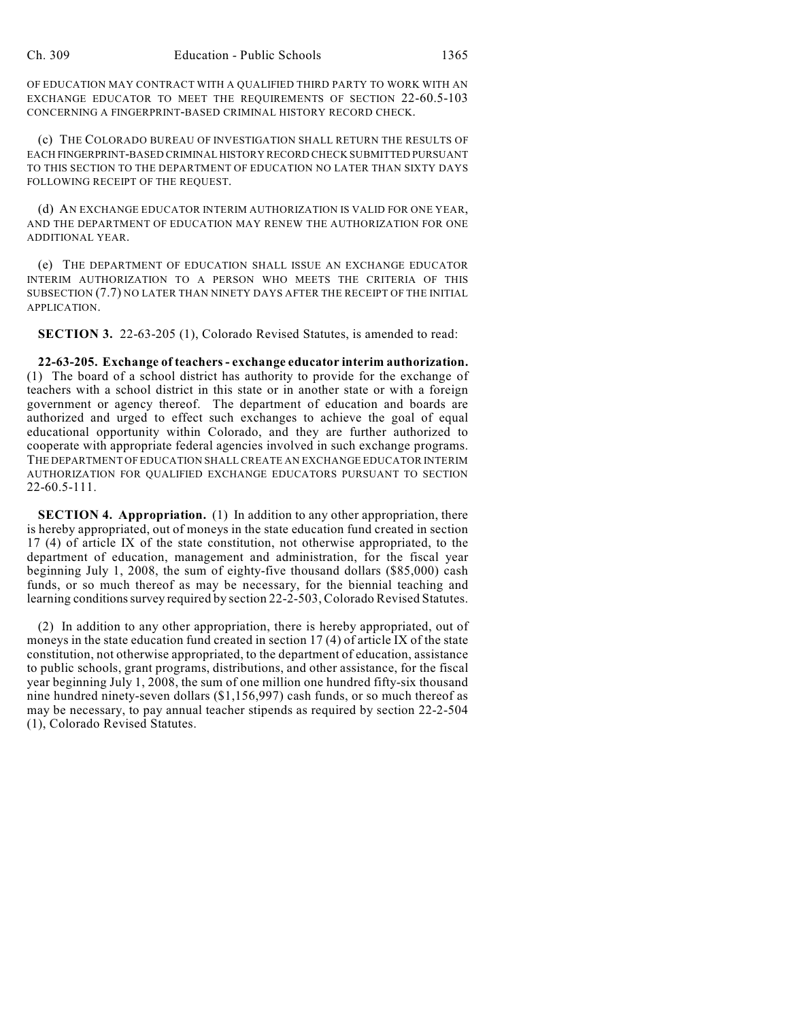OF EDUCATION MAY CONTRACT WITH A QUALIFIED THIRD PARTY TO WORK WITH AN EXCHANGE EDUCATOR TO MEET THE REQUIREMENTS OF SECTION 22-60.5-103 CONCERNING A FINGERPRINT-BASED CRIMINAL HISTORY RECORD CHECK.

(c) THE COLORADO BUREAU OF INVESTIGATION SHALL RETURN THE RESULTS OF EACH FINGERPRINT-BASED CRIMINAL HISTORY RECORD CHECK SUBMITTED PURSUANT TO THIS SECTION TO THE DEPARTMENT OF EDUCATION NO LATER THAN SIXTY DAYS FOLLOWING RECEIPT OF THE REQUEST.

(d) AN EXCHANGE EDUCATOR INTERIM AUTHORIZATION IS VALID FOR ONE YEAR, AND THE DEPARTMENT OF EDUCATION MAY RENEW THE AUTHORIZATION FOR ONE ADDITIONAL YEAR.

(e) THE DEPARTMENT OF EDUCATION SHALL ISSUE AN EXCHANGE EDUCATOR INTERIM AUTHORIZATION TO A PERSON WHO MEETS THE CRITERIA OF THIS SUBSECTION (7.7) NO LATER THAN NINETY DAYS AFTER THE RECEIPT OF THE INITIAL APPLICATION.

**SECTION 3.** 22-63-205 (1), Colorado Revised Statutes, is amended to read:

**22-63-205. Exchange of teachers - exchange educator interim authorization.** (1) The board of a school district has authority to provide for the exchange of teachers with a school district in this state or in another state or with a foreign government or agency thereof. The department of education and boards are authorized and urged to effect such exchanges to achieve the goal of equal educational opportunity within Colorado, and they are further authorized to cooperate with appropriate federal agencies involved in such exchange programs. THE DEPARTMENT OF EDUCATION SHALL CREATE AN EXCHANGE EDUCATOR INTERIM AUTHORIZATION FOR QUALIFIED EXCHANGE EDUCATORS PURSUANT TO SECTION 22-60.5-111.

**SECTION 4. Appropriation.** (1) In addition to any other appropriation, there is hereby appropriated, out of moneys in the state education fund created in section 17 (4) of article IX of the state constitution, not otherwise appropriated, to the department of education, management and administration, for the fiscal year beginning July 1, 2008, the sum of eighty-five thousand dollars (\$85,000) cash funds, or so much thereof as may be necessary, for the biennial teaching and learning conditions survey required by section 22-2-503, Colorado Revised Statutes.

(2) In addition to any other appropriation, there is hereby appropriated, out of moneys in the state education fund created in section 17 (4) of article IX of the state constitution, not otherwise appropriated, to the department of education, assistance to public schools, grant programs, distributions, and other assistance, for the fiscal year beginning July 1, 2008, the sum of one million one hundred fifty-six thousand nine hundred ninety-seven dollars (\$1,156,997) cash funds, or so much thereof as may be necessary, to pay annual teacher stipends as required by section 22-2-504 (1), Colorado Revised Statutes.